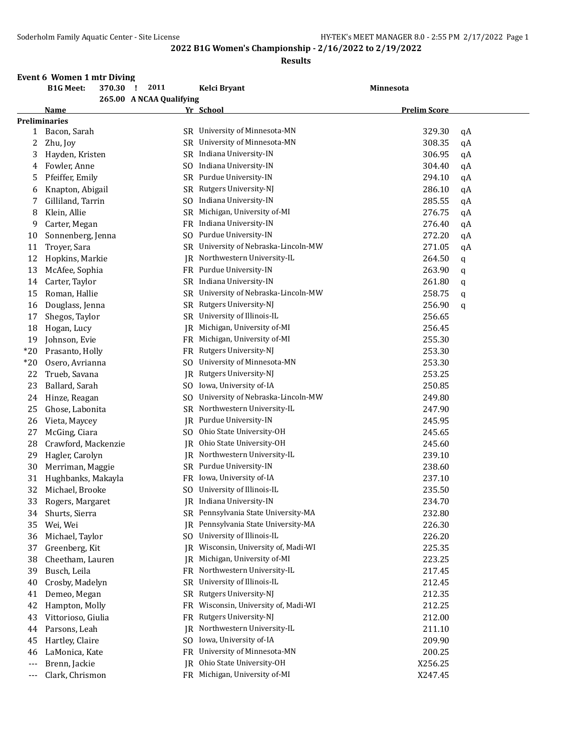## **2022 B1G Women's Championship - 2/16/2022 to 2/19/2022**

#### **Results**

| <b>B1G Meet:</b><br>370.30<br>2011<br>- 1<br>Kelci Bryant<br>Minnesota<br>265.00 A NCAA Qualifying<br>Yr School<br><b>Prelim Score</b><br>Name<br><b>Preliminaries</b><br>SR University of Minnesota-MN<br>329.30<br>Bacon, Sarah<br>qA<br>1<br>SR University of Minnesota-MN<br>308.35<br>2<br>Zhu, Joy<br>qA<br>SR Indiana University-IN<br>306.95<br>3<br>Hayden, Kristen<br>qA<br>Indiana University-IN<br>304.40<br>Fowler, Anne<br>SO<br>qA<br>4<br>SR Purdue University-IN<br>294.10<br>Pfeiffer, Emily<br>5<br>qA<br>Rutgers University-NJ<br>286.10<br>Knapton, Abigail<br>SR<br>qA<br>6<br>Gilliland, Tarrin<br>Indiana University-IN<br>285.55<br>7<br>SO.<br>qA<br>Michigan, University of-MI<br>Klein, Allie<br>276.75<br>8<br>SR<br>qA<br>FR Indiana University-IN<br>Carter, Megan<br>276.40<br>9<br>qA<br>Purdue University-IN<br>Sonnenberg, Jenna<br>272.20<br>SO.<br>10<br>qA<br>Troyer, Sara<br>SR University of Nebraska-Lincoln-MW<br>11<br>271.05<br>qA<br>Northwestern University-IL<br>Hopkins, Markie<br>12<br>264.50<br>IR<br>q<br>Purdue University-IN<br>McAfee, Sophia<br>263.90<br>13<br>FR<br>q<br>SR Indiana University-IN<br>Carter, Taylor<br>261.80<br>14<br>q<br>University of Nebraska-Lincoln-MW<br>Roman, Hallie<br>SR<br>258.75<br>15<br>q<br>Douglass, Jenna<br>Rutgers University-NJ<br>256.90<br>SR<br>16<br>q<br>University of Illinois-IL<br>Shegos, Taylor<br><b>SR</b><br>256.65<br>17<br>Michigan, University of-MI<br>18<br>Hogan, Lucy<br>IR<br>256.45<br>FR Michigan, University of-MI<br>Johnson, Evie<br>255.30<br>19<br>Rutgers University-NJ<br>253.30<br>$*20$<br>Prasanto, Holly<br>FR<br>University of Minnesota-MN<br>253.30<br>$*20$<br>Osero, Avrianna<br>SO.<br>Rutgers University-NJ<br>22<br>Trueb, Savana<br>253.25<br>IR<br>Iowa, University of-IA<br>Ballard, Sarah<br>23<br>SO.<br>250.85<br>University of Nebraska-Lincoln-MW<br>Hinze, Reagan<br>249.80<br>24<br>SO.<br>Northwestern University-IL<br>Ghose, Labonita<br>247.90<br>SR<br>25<br>Purdue University-IN<br>245.95<br>Vieta, Maycey<br>26<br>IR<br>Ohio State University-OH<br>245.65<br>McGing, Ciara<br>27<br>SO<br>Ohio State University-OH<br>Crawford, Mackenzie<br>245.60<br>28<br>JR.<br>Hagler, Carolyn<br>Northwestern University-IL<br>239.10<br>29<br>IR<br>SR Purdue University-IN<br>Merriman, Maggie<br>238.60<br>30<br>Hughbanks, Makayla<br>Iowa, University of-IA<br>237.10<br>31<br>FR<br>University of Illinois-IL<br>32<br>Michael, Brooke<br>235.50<br>SO<br>JR Indiana University-IN<br>Rogers, Margaret<br>234.70<br>33<br>SR Pennsylvania State University-MA<br>Shurts, Sierra<br>232.80<br>34 |  |
|-----------------------------------------------------------------------------------------------------------------------------------------------------------------------------------------------------------------------------------------------------------------------------------------------------------------------------------------------------------------------------------------------------------------------------------------------------------------------------------------------------------------------------------------------------------------------------------------------------------------------------------------------------------------------------------------------------------------------------------------------------------------------------------------------------------------------------------------------------------------------------------------------------------------------------------------------------------------------------------------------------------------------------------------------------------------------------------------------------------------------------------------------------------------------------------------------------------------------------------------------------------------------------------------------------------------------------------------------------------------------------------------------------------------------------------------------------------------------------------------------------------------------------------------------------------------------------------------------------------------------------------------------------------------------------------------------------------------------------------------------------------------------------------------------------------------------------------------------------------------------------------------------------------------------------------------------------------------------------------------------------------------------------------------------------------------------------------------------------------------------------------------------------------------------------------------------------------------------------------------------------------------------------------------------------------------------------------------------------------------------------------------------------------------------------------------------------------------------------------------------------------------------------------------------------------------------------------------------------------------------------------------------------------|--|
|                                                                                                                                                                                                                                                                                                                                                                                                                                                                                                                                                                                                                                                                                                                                                                                                                                                                                                                                                                                                                                                                                                                                                                                                                                                                                                                                                                                                                                                                                                                                                                                                                                                                                                                                                                                                                                                                                                                                                                                                                                                                                                                                                                                                                                                                                                                                                                                                                                                                                                                                                                                                                                                           |  |
|                                                                                                                                                                                                                                                                                                                                                                                                                                                                                                                                                                                                                                                                                                                                                                                                                                                                                                                                                                                                                                                                                                                                                                                                                                                                                                                                                                                                                                                                                                                                                                                                                                                                                                                                                                                                                                                                                                                                                                                                                                                                                                                                                                                                                                                                                                                                                                                                                                                                                                                                                                                                                                                           |  |
|                                                                                                                                                                                                                                                                                                                                                                                                                                                                                                                                                                                                                                                                                                                                                                                                                                                                                                                                                                                                                                                                                                                                                                                                                                                                                                                                                                                                                                                                                                                                                                                                                                                                                                                                                                                                                                                                                                                                                                                                                                                                                                                                                                                                                                                                                                                                                                                                                                                                                                                                                                                                                                                           |  |
|                                                                                                                                                                                                                                                                                                                                                                                                                                                                                                                                                                                                                                                                                                                                                                                                                                                                                                                                                                                                                                                                                                                                                                                                                                                                                                                                                                                                                                                                                                                                                                                                                                                                                                                                                                                                                                                                                                                                                                                                                                                                                                                                                                                                                                                                                                                                                                                                                                                                                                                                                                                                                                                           |  |
|                                                                                                                                                                                                                                                                                                                                                                                                                                                                                                                                                                                                                                                                                                                                                                                                                                                                                                                                                                                                                                                                                                                                                                                                                                                                                                                                                                                                                                                                                                                                                                                                                                                                                                                                                                                                                                                                                                                                                                                                                                                                                                                                                                                                                                                                                                                                                                                                                                                                                                                                                                                                                                                           |  |
|                                                                                                                                                                                                                                                                                                                                                                                                                                                                                                                                                                                                                                                                                                                                                                                                                                                                                                                                                                                                                                                                                                                                                                                                                                                                                                                                                                                                                                                                                                                                                                                                                                                                                                                                                                                                                                                                                                                                                                                                                                                                                                                                                                                                                                                                                                                                                                                                                                                                                                                                                                                                                                                           |  |
|                                                                                                                                                                                                                                                                                                                                                                                                                                                                                                                                                                                                                                                                                                                                                                                                                                                                                                                                                                                                                                                                                                                                                                                                                                                                                                                                                                                                                                                                                                                                                                                                                                                                                                                                                                                                                                                                                                                                                                                                                                                                                                                                                                                                                                                                                                                                                                                                                                                                                                                                                                                                                                                           |  |
|                                                                                                                                                                                                                                                                                                                                                                                                                                                                                                                                                                                                                                                                                                                                                                                                                                                                                                                                                                                                                                                                                                                                                                                                                                                                                                                                                                                                                                                                                                                                                                                                                                                                                                                                                                                                                                                                                                                                                                                                                                                                                                                                                                                                                                                                                                                                                                                                                                                                                                                                                                                                                                                           |  |
|                                                                                                                                                                                                                                                                                                                                                                                                                                                                                                                                                                                                                                                                                                                                                                                                                                                                                                                                                                                                                                                                                                                                                                                                                                                                                                                                                                                                                                                                                                                                                                                                                                                                                                                                                                                                                                                                                                                                                                                                                                                                                                                                                                                                                                                                                                                                                                                                                                                                                                                                                                                                                                                           |  |
|                                                                                                                                                                                                                                                                                                                                                                                                                                                                                                                                                                                                                                                                                                                                                                                                                                                                                                                                                                                                                                                                                                                                                                                                                                                                                                                                                                                                                                                                                                                                                                                                                                                                                                                                                                                                                                                                                                                                                                                                                                                                                                                                                                                                                                                                                                                                                                                                                                                                                                                                                                                                                                                           |  |
|                                                                                                                                                                                                                                                                                                                                                                                                                                                                                                                                                                                                                                                                                                                                                                                                                                                                                                                                                                                                                                                                                                                                                                                                                                                                                                                                                                                                                                                                                                                                                                                                                                                                                                                                                                                                                                                                                                                                                                                                                                                                                                                                                                                                                                                                                                                                                                                                                                                                                                                                                                                                                                                           |  |
|                                                                                                                                                                                                                                                                                                                                                                                                                                                                                                                                                                                                                                                                                                                                                                                                                                                                                                                                                                                                                                                                                                                                                                                                                                                                                                                                                                                                                                                                                                                                                                                                                                                                                                                                                                                                                                                                                                                                                                                                                                                                                                                                                                                                                                                                                                                                                                                                                                                                                                                                                                                                                                                           |  |
|                                                                                                                                                                                                                                                                                                                                                                                                                                                                                                                                                                                                                                                                                                                                                                                                                                                                                                                                                                                                                                                                                                                                                                                                                                                                                                                                                                                                                                                                                                                                                                                                                                                                                                                                                                                                                                                                                                                                                                                                                                                                                                                                                                                                                                                                                                                                                                                                                                                                                                                                                                                                                                                           |  |
|                                                                                                                                                                                                                                                                                                                                                                                                                                                                                                                                                                                                                                                                                                                                                                                                                                                                                                                                                                                                                                                                                                                                                                                                                                                                                                                                                                                                                                                                                                                                                                                                                                                                                                                                                                                                                                                                                                                                                                                                                                                                                                                                                                                                                                                                                                                                                                                                                                                                                                                                                                                                                                                           |  |
|                                                                                                                                                                                                                                                                                                                                                                                                                                                                                                                                                                                                                                                                                                                                                                                                                                                                                                                                                                                                                                                                                                                                                                                                                                                                                                                                                                                                                                                                                                                                                                                                                                                                                                                                                                                                                                                                                                                                                                                                                                                                                                                                                                                                                                                                                                                                                                                                                                                                                                                                                                                                                                                           |  |
|                                                                                                                                                                                                                                                                                                                                                                                                                                                                                                                                                                                                                                                                                                                                                                                                                                                                                                                                                                                                                                                                                                                                                                                                                                                                                                                                                                                                                                                                                                                                                                                                                                                                                                                                                                                                                                                                                                                                                                                                                                                                                                                                                                                                                                                                                                                                                                                                                                                                                                                                                                                                                                                           |  |
|                                                                                                                                                                                                                                                                                                                                                                                                                                                                                                                                                                                                                                                                                                                                                                                                                                                                                                                                                                                                                                                                                                                                                                                                                                                                                                                                                                                                                                                                                                                                                                                                                                                                                                                                                                                                                                                                                                                                                                                                                                                                                                                                                                                                                                                                                                                                                                                                                                                                                                                                                                                                                                                           |  |
|                                                                                                                                                                                                                                                                                                                                                                                                                                                                                                                                                                                                                                                                                                                                                                                                                                                                                                                                                                                                                                                                                                                                                                                                                                                                                                                                                                                                                                                                                                                                                                                                                                                                                                                                                                                                                                                                                                                                                                                                                                                                                                                                                                                                                                                                                                                                                                                                                                                                                                                                                                                                                                                           |  |
|                                                                                                                                                                                                                                                                                                                                                                                                                                                                                                                                                                                                                                                                                                                                                                                                                                                                                                                                                                                                                                                                                                                                                                                                                                                                                                                                                                                                                                                                                                                                                                                                                                                                                                                                                                                                                                                                                                                                                                                                                                                                                                                                                                                                                                                                                                                                                                                                                                                                                                                                                                                                                                                           |  |
|                                                                                                                                                                                                                                                                                                                                                                                                                                                                                                                                                                                                                                                                                                                                                                                                                                                                                                                                                                                                                                                                                                                                                                                                                                                                                                                                                                                                                                                                                                                                                                                                                                                                                                                                                                                                                                                                                                                                                                                                                                                                                                                                                                                                                                                                                                                                                                                                                                                                                                                                                                                                                                                           |  |
|                                                                                                                                                                                                                                                                                                                                                                                                                                                                                                                                                                                                                                                                                                                                                                                                                                                                                                                                                                                                                                                                                                                                                                                                                                                                                                                                                                                                                                                                                                                                                                                                                                                                                                                                                                                                                                                                                                                                                                                                                                                                                                                                                                                                                                                                                                                                                                                                                                                                                                                                                                                                                                                           |  |
|                                                                                                                                                                                                                                                                                                                                                                                                                                                                                                                                                                                                                                                                                                                                                                                                                                                                                                                                                                                                                                                                                                                                                                                                                                                                                                                                                                                                                                                                                                                                                                                                                                                                                                                                                                                                                                                                                                                                                                                                                                                                                                                                                                                                                                                                                                                                                                                                                                                                                                                                                                                                                                                           |  |
|                                                                                                                                                                                                                                                                                                                                                                                                                                                                                                                                                                                                                                                                                                                                                                                                                                                                                                                                                                                                                                                                                                                                                                                                                                                                                                                                                                                                                                                                                                                                                                                                                                                                                                                                                                                                                                                                                                                                                                                                                                                                                                                                                                                                                                                                                                                                                                                                                                                                                                                                                                                                                                                           |  |
|                                                                                                                                                                                                                                                                                                                                                                                                                                                                                                                                                                                                                                                                                                                                                                                                                                                                                                                                                                                                                                                                                                                                                                                                                                                                                                                                                                                                                                                                                                                                                                                                                                                                                                                                                                                                                                                                                                                                                                                                                                                                                                                                                                                                                                                                                                                                                                                                                                                                                                                                                                                                                                                           |  |
|                                                                                                                                                                                                                                                                                                                                                                                                                                                                                                                                                                                                                                                                                                                                                                                                                                                                                                                                                                                                                                                                                                                                                                                                                                                                                                                                                                                                                                                                                                                                                                                                                                                                                                                                                                                                                                                                                                                                                                                                                                                                                                                                                                                                                                                                                                                                                                                                                                                                                                                                                                                                                                                           |  |
|                                                                                                                                                                                                                                                                                                                                                                                                                                                                                                                                                                                                                                                                                                                                                                                                                                                                                                                                                                                                                                                                                                                                                                                                                                                                                                                                                                                                                                                                                                                                                                                                                                                                                                                                                                                                                                                                                                                                                                                                                                                                                                                                                                                                                                                                                                                                                                                                                                                                                                                                                                                                                                                           |  |
|                                                                                                                                                                                                                                                                                                                                                                                                                                                                                                                                                                                                                                                                                                                                                                                                                                                                                                                                                                                                                                                                                                                                                                                                                                                                                                                                                                                                                                                                                                                                                                                                                                                                                                                                                                                                                                                                                                                                                                                                                                                                                                                                                                                                                                                                                                                                                                                                                                                                                                                                                                                                                                                           |  |
|                                                                                                                                                                                                                                                                                                                                                                                                                                                                                                                                                                                                                                                                                                                                                                                                                                                                                                                                                                                                                                                                                                                                                                                                                                                                                                                                                                                                                                                                                                                                                                                                                                                                                                                                                                                                                                                                                                                                                                                                                                                                                                                                                                                                                                                                                                                                                                                                                                                                                                                                                                                                                                                           |  |
|                                                                                                                                                                                                                                                                                                                                                                                                                                                                                                                                                                                                                                                                                                                                                                                                                                                                                                                                                                                                                                                                                                                                                                                                                                                                                                                                                                                                                                                                                                                                                                                                                                                                                                                                                                                                                                                                                                                                                                                                                                                                                                                                                                                                                                                                                                                                                                                                                                                                                                                                                                                                                                                           |  |
|                                                                                                                                                                                                                                                                                                                                                                                                                                                                                                                                                                                                                                                                                                                                                                                                                                                                                                                                                                                                                                                                                                                                                                                                                                                                                                                                                                                                                                                                                                                                                                                                                                                                                                                                                                                                                                                                                                                                                                                                                                                                                                                                                                                                                                                                                                                                                                                                                                                                                                                                                                                                                                                           |  |
|                                                                                                                                                                                                                                                                                                                                                                                                                                                                                                                                                                                                                                                                                                                                                                                                                                                                                                                                                                                                                                                                                                                                                                                                                                                                                                                                                                                                                                                                                                                                                                                                                                                                                                                                                                                                                                                                                                                                                                                                                                                                                                                                                                                                                                                                                                                                                                                                                                                                                                                                                                                                                                                           |  |
|                                                                                                                                                                                                                                                                                                                                                                                                                                                                                                                                                                                                                                                                                                                                                                                                                                                                                                                                                                                                                                                                                                                                                                                                                                                                                                                                                                                                                                                                                                                                                                                                                                                                                                                                                                                                                                                                                                                                                                                                                                                                                                                                                                                                                                                                                                                                                                                                                                                                                                                                                                                                                                                           |  |
|                                                                                                                                                                                                                                                                                                                                                                                                                                                                                                                                                                                                                                                                                                                                                                                                                                                                                                                                                                                                                                                                                                                                                                                                                                                                                                                                                                                                                                                                                                                                                                                                                                                                                                                                                                                                                                                                                                                                                                                                                                                                                                                                                                                                                                                                                                                                                                                                                                                                                                                                                                                                                                                           |  |
|                                                                                                                                                                                                                                                                                                                                                                                                                                                                                                                                                                                                                                                                                                                                                                                                                                                                                                                                                                                                                                                                                                                                                                                                                                                                                                                                                                                                                                                                                                                                                                                                                                                                                                                                                                                                                                                                                                                                                                                                                                                                                                                                                                                                                                                                                                                                                                                                                                                                                                                                                                                                                                                           |  |
|                                                                                                                                                                                                                                                                                                                                                                                                                                                                                                                                                                                                                                                                                                                                                                                                                                                                                                                                                                                                                                                                                                                                                                                                                                                                                                                                                                                                                                                                                                                                                                                                                                                                                                                                                                                                                                                                                                                                                                                                                                                                                                                                                                                                                                                                                                                                                                                                                                                                                                                                                                                                                                                           |  |
|                                                                                                                                                                                                                                                                                                                                                                                                                                                                                                                                                                                                                                                                                                                                                                                                                                                                                                                                                                                                                                                                                                                                                                                                                                                                                                                                                                                                                                                                                                                                                                                                                                                                                                                                                                                                                                                                                                                                                                                                                                                                                                                                                                                                                                                                                                                                                                                                                                                                                                                                                                                                                                                           |  |
|                                                                                                                                                                                                                                                                                                                                                                                                                                                                                                                                                                                                                                                                                                                                                                                                                                                                                                                                                                                                                                                                                                                                                                                                                                                                                                                                                                                                                                                                                                                                                                                                                                                                                                                                                                                                                                                                                                                                                                                                                                                                                                                                                                                                                                                                                                                                                                                                                                                                                                                                                                                                                                                           |  |
| Pennsylvania State University-MA<br>226.30<br>Wei, Wei<br>35<br>IR                                                                                                                                                                                                                                                                                                                                                                                                                                                                                                                                                                                                                                                                                                                                                                                                                                                                                                                                                                                                                                                                                                                                                                                                                                                                                                                                                                                                                                                                                                                                                                                                                                                                                                                                                                                                                                                                                                                                                                                                                                                                                                                                                                                                                                                                                                                                                                                                                                                                                                                                                                                        |  |
| University of Illinois-IL<br>226.20<br>Michael, Taylor<br>SO.<br>36                                                                                                                                                                                                                                                                                                                                                                                                                                                                                                                                                                                                                                                                                                                                                                                                                                                                                                                                                                                                                                                                                                                                                                                                                                                                                                                                                                                                                                                                                                                                                                                                                                                                                                                                                                                                                                                                                                                                                                                                                                                                                                                                                                                                                                                                                                                                                                                                                                                                                                                                                                                       |  |
| Greenberg, Kit<br>Wisconsin, University of, Madi-WI<br>225.35<br>37<br>IR                                                                                                                                                                                                                                                                                                                                                                                                                                                                                                                                                                                                                                                                                                                                                                                                                                                                                                                                                                                                                                                                                                                                                                                                                                                                                                                                                                                                                                                                                                                                                                                                                                                                                                                                                                                                                                                                                                                                                                                                                                                                                                                                                                                                                                                                                                                                                                                                                                                                                                                                                                                 |  |
| Michigan, University of-MI<br>Cheetham, Lauren<br>223.25<br>38<br>IR                                                                                                                                                                                                                                                                                                                                                                                                                                                                                                                                                                                                                                                                                                                                                                                                                                                                                                                                                                                                                                                                                                                                                                                                                                                                                                                                                                                                                                                                                                                                                                                                                                                                                                                                                                                                                                                                                                                                                                                                                                                                                                                                                                                                                                                                                                                                                                                                                                                                                                                                                                                      |  |
| Northwestern University-IL<br>Busch, Leila<br>217.45<br>39<br>FR                                                                                                                                                                                                                                                                                                                                                                                                                                                                                                                                                                                                                                                                                                                                                                                                                                                                                                                                                                                                                                                                                                                                                                                                                                                                                                                                                                                                                                                                                                                                                                                                                                                                                                                                                                                                                                                                                                                                                                                                                                                                                                                                                                                                                                                                                                                                                                                                                                                                                                                                                                                          |  |
| University of Illinois-IL<br>Crosby, Madelyn<br>212.45<br>40<br>SR                                                                                                                                                                                                                                                                                                                                                                                                                                                                                                                                                                                                                                                                                                                                                                                                                                                                                                                                                                                                                                                                                                                                                                                                                                                                                                                                                                                                                                                                                                                                                                                                                                                                                                                                                                                                                                                                                                                                                                                                                                                                                                                                                                                                                                                                                                                                                                                                                                                                                                                                                                                        |  |
| Demeo, Megan<br>Rutgers University-NJ<br>212.35<br>SR<br>41                                                                                                                                                                                                                                                                                                                                                                                                                                                                                                                                                                                                                                                                                                                                                                                                                                                                                                                                                                                                                                                                                                                                                                                                                                                                                                                                                                                                                                                                                                                                                                                                                                                                                                                                                                                                                                                                                                                                                                                                                                                                                                                                                                                                                                                                                                                                                                                                                                                                                                                                                                                               |  |
| Wisconsin, University of, Madi-WI<br>Hampton, Molly<br>212.25<br>42<br>FR.                                                                                                                                                                                                                                                                                                                                                                                                                                                                                                                                                                                                                                                                                                                                                                                                                                                                                                                                                                                                                                                                                                                                                                                                                                                                                                                                                                                                                                                                                                                                                                                                                                                                                                                                                                                                                                                                                                                                                                                                                                                                                                                                                                                                                                                                                                                                                                                                                                                                                                                                                                                |  |
| Rutgers University-NJ<br>212.00<br>Vittorioso, Giulia<br>43<br>FR.                                                                                                                                                                                                                                                                                                                                                                                                                                                                                                                                                                                                                                                                                                                                                                                                                                                                                                                                                                                                                                                                                                                                                                                                                                                                                                                                                                                                                                                                                                                                                                                                                                                                                                                                                                                                                                                                                                                                                                                                                                                                                                                                                                                                                                                                                                                                                                                                                                                                                                                                                                                        |  |
| Northwestern University-IL<br>Parsons, Leah<br>211.10<br>IR<br>44                                                                                                                                                                                                                                                                                                                                                                                                                                                                                                                                                                                                                                                                                                                                                                                                                                                                                                                                                                                                                                                                                                                                                                                                                                                                                                                                                                                                                                                                                                                                                                                                                                                                                                                                                                                                                                                                                                                                                                                                                                                                                                                                                                                                                                                                                                                                                                                                                                                                                                                                                                                         |  |
| Iowa, University of-IA<br>Hartley, Claire<br>209.90<br>45<br>SO.                                                                                                                                                                                                                                                                                                                                                                                                                                                                                                                                                                                                                                                                                                                                                                                                                                                                                                                                                                                                                                                                                                                                                                                                                                                                                                                                                                                                                                                                                                                                                                                                                                                                                                                                                                                                                                                                                                                                                                                                                                                                                                                                                                                                                                                                                                                                                                                                                                                                                                                                                                                          |  |
| University of Minnesota-MN<br>LaMonica, Kate<br>FR.<br>200.25<br>46                                                                                                                                                                                                                                                                                                                                                                                                                                                                                                                                                                                                                                                                                                                                                                                                                                                                                                                                                                                                                                                                                                                                                                                                                                                                                                                                                                                                                                                                                                                                                                                                                                                                                                                                                                                                                                                                                                                                                                                                                                                                                                                                                                                                                                                                                                                                                                                                                                                                                                                                                                                       |  |
| Ohio State University-OH<br>Brenn, Jackie<br>X256.25<br>IR                                                                                                                                                                                                                                                                                                                                                                                                                                                                                                                                                                                                                                                                                                                                                                                                                                                                                                                                                                                                                                                                                                                                                                                                                                                                                                                                                                                                                                                                                                                                                                                                                                                                                                                                                                                                                                                                                                                                                                                                                                                                                                                                                                                                                                                                                                                                                                                                                                                                                                                                                                                                |  |
| $---$<br>FR Michigan, University of-MI<br>Clark, Chrismon<br>X247.45<br>---                                                                                                                                                                                                                                                                                                                                                                                                                                                                                                                                                                                                                                                                                                                                                                                                                                                                                                                                                                                                                                                                                                                                                                                                                                                                                                                                                                                                                                                                                                                                                                                                                                                                                                                                                                                                                                                                                                                                                                                                                                                                                                                                                                                                                                                                                                                                                                                                                                                                                                                                                                               |  |